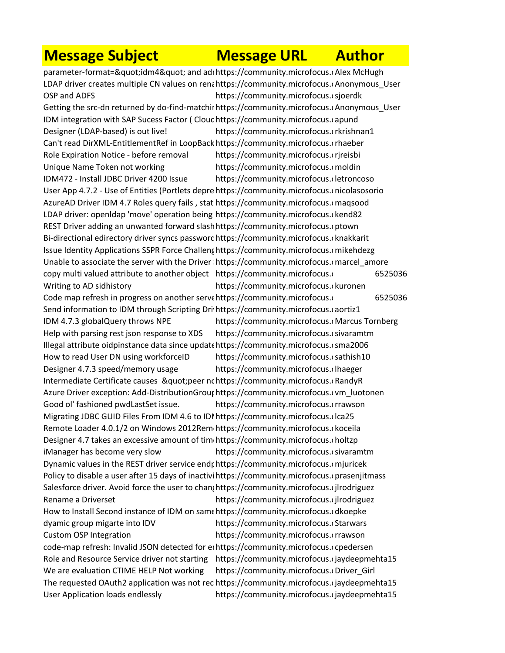## **Message Subject Message URL Author**

parameter-format="idm4" and adı https://community.microfocus.cAlex McHugh LDAP driver creates multiple CN values on renahttps://community.microfocus.cAnonymous\_User OSP and ADFS https://community.microfocus.csjoerdkity-Manager-User-User-User-User-Getting the src-dn returned by do-find-matchii https://community.microfocus.cAnonymous\_User IDM integration with SAP Sucess Factor ( Clouc https://community.microfocus.capund Designer (LDAP-based) is out live! https://community.microfocus.crkrishnan1 Can't read DirXML-EntitlementRef in LoopBack https://community.microfocus.crhaeber Role Expiration Notice - before removal https://community.microfocus.crireisbi Unique Name Token not working https://community.microfocus.com/din IDM472 - Install JDBC Driver 4200 Issue https://community.microfocus.cletroncoso User App 4.7.2 - Use of Entities (Portlets depre https://community.microfocus.cnicolasosorio AzureAD Driver IDM 4.7 Roles query fails, stat https://community.microfocus.cmagsood LDAP driver: openldap 'move' operation being https://community.microfocus.ckend82 REST Driver adding an unwanted forward slash https://community.microfocus.cptown Bi-directional edirectory driver syncs passworc https://community.microfocus.cknakkarit Issue Identity Applications SSPR Force Challeng https://community.microfocus.cmikehdezg Unable to associate the server with the Driver https://community.microfocus.cmarcel amore copy multi valued attribute to another object https://community.microfocus.com/t525036 Writing to AD sidhistory https://community.microfocus.com/ting-to-AD-sidhistory Code map refresh in progress on another serve https://community.microfocus.com/t5/Identity-map-Send information to IDM through Scripting Dri https://community.microfocus.caortiz1 IDM 4.7.3 globalQuery throws NPE https://community.microfocus.cMarcus Tornberg Help with parsing rest json response to XDS https://community.microfocus.csivaramtm Illegal attribute oidpinstance data since update https://community.microfocus.csma2006 How to read User DN using workforceID https://community.microfocus.csathish10 Designer 4.7.3 speed/memory usage https://community.microfocus.com/thaeger Intermediate Certificate causes "peer nchttps://community.microfocus.cRandyR Azure Driver exception: Add-DistributionGrouphttps://community.microfocus.com luotonen Good ol' fashioned pwdLastSet issue. https://community.microfocus.crrawson Migrating JDBC GUID Files From IDM 4.6 to IDI https://community.microfocus.clca25 Remote Loader 4.0.1/2 on Windows 2012Rem https://community.microfocus.(koceila Designer 4.7 takes an excessive amount of tim https://community.microfocus.choltzp iManager has become very slow https://community.microfocus.com/tm Dynamic values in the REST driver service endr https://community.microfocus.cmjuricek Policy to disable a user after 15 days of inactivihttps://community.microfocus.cprasenjitmass Salesforce driver. Avoid force the user to chan; https://community.microfocus.(jlrodriguez Rename a Driverset **https://community.microfocus.com/tity-Manager-**How to Install Second instance of IDM on same https://community.microfocus.cdkoepke dyamic group migarte into IDV https://community.microfocus.com/t5/Identity-microfocus.com/ Custom OSP Integration https://community.microfocus.crrawson code-map refresh: Invalid JSON detected for entititys://community.microfocus.com/tentity-map-refresh-Role and Resource Service driver not starting https://community.microfocus.cjaydeepmehta15 We are evaluation CTIME HELP Not working https://community.microfocus.cDriver\_Girl The requested OAuth2 application was not rec https://community.microfocus.cjaydeepmehta15 User Application loads endlessly https://community.microfocus.cjaydeepmehta15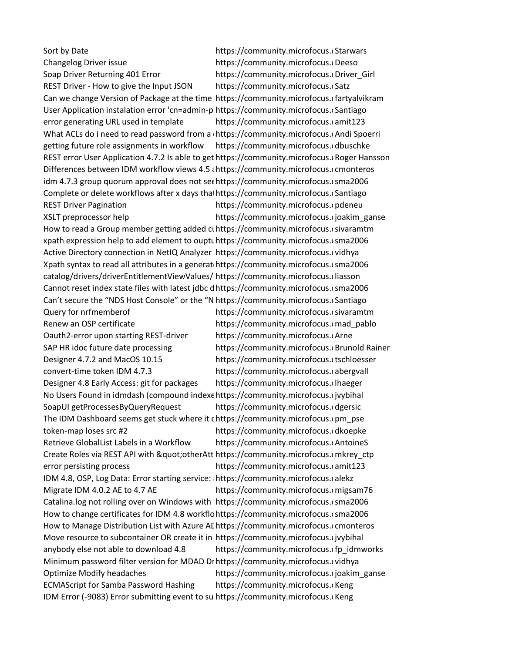Sort by Date https://community.microfocus.com/t5/Identity-Manager-Changelog Driver issue https://community.microfocus.com/t5/Identity-microfocus.com/ Soap Driver Returning 401 Error https://community.microfocus.com/tity-Manager-Girl REST Driver - How to give the Input JSON https://community.microfocus.cs Can we change Version of Package at the time https://community.microfocus.cfartyalvikram User Application instalation error 'cn=admin-p https://community.microfocus.cSantiago error generating URL used in template https://community.microfocus.camit123 What ACLs do i need to read password from a https://community.microfocus.com/titalgetting future role assignments in workflow https://community.microfocus.cdbuschke REST error User Application 4.7.2 Is able to get https://community.microfocus.(Roger Hansson Differences between IDM workflow views 4.5 and 4.5 https://community.microfocus.comonterosidm 4.7.3 group quorum approval does not see https://community.microfocus.csma2006 Complete or delete workflows after x days that https://community.microfocus.cSantiago REST Driver Pagination **https://community.microfocus.com/tity-**XSLT preprocessor help https://community.microfocus.com/t5/identity-microfocus.com/ How to read a Group member getting added ci https://community.microfocus.isivaramtm xpath expression help to add element to ouptuthttps://community.microfocus.csma2006 Active Directory connection in NetIQ Analyzer https://community.microfocus.cvidhya Xpath syntax to read all attributes in a generat https://community.microfocus.csma2006 catalog/drivers/driverEntitlementViewValues/ https://community.microfocus.cliasson Cannot reset index state files with latest jdbc d https://community.microfocus.csma2006 Can't secure the "NDS Host Console" or the "N https://community.microfocus.cSantiago Query for nrfmemberof https://community.microfocus.csivaramtm Renew an OSP certificate https://community.microfocus.com/t5/Identity-Manager-Oauth2-error upon starting REST-driver https://community.microfocus.cArne SAP HR idoc future date processing https://community.microfocus.com/titulate-Designer 4.7.2 and MacOS 10.15 https://community.microfocus.ctschloesser convert-time token IDM 4.7.3 https://community.microfocus.cabergvall Designer 4.8 Early Access: git for packages https://community.microfocus.clhaeger No Users Found in idmdash (compound indexe https://community.microfocus.cjvybihal SoapUI getProcessesByQueryRequest https://community.microfocus.cdgersic The IDM Dashboard seems get stuck where it chttps://community.microfocus.cpm\_pse token-map loses src #2 https://community.microfocus.cdkoepke Retrieve GlobalList Labels in a Workflow https://community.microfocus.com/toineS Create Roles via REST API with " other Att https://community.microfocus.omkrey ctp error persisting process https://community.microfocus.camit123 IDM 4.8, OSP, Log Data: Error starting service: https://community.microfocus.calekz Migrate IDM 4.0.2 AE to 4.7 AE **https://community.microfocus.com**igsam76 Catalina.log not rolling over on Windows with https://community.microfocus.csma2006 How to change certificates for IDM 4.8 workflohttps://community.microfocus.csma2006 How to Manage Distribution List with Azure AI https://community.microfocus.comonteros Move resource to subcontainer OR create it in https://community.microfocus.cjvybihal anybody else not able to download 4.8 https://community.microfocus.cfp\_idmworks Minimum password filter version for MDAD Drhttps://community.microfocus.cvidhya Optimize Modify headaches https://community.microfocus.com/titus-Modify-headaches ECMAScript for Samba Password Hashing https://community.microfocus.cKeng IDM Error (-9083) Error submitting event to su https://community.microfocus.cKeng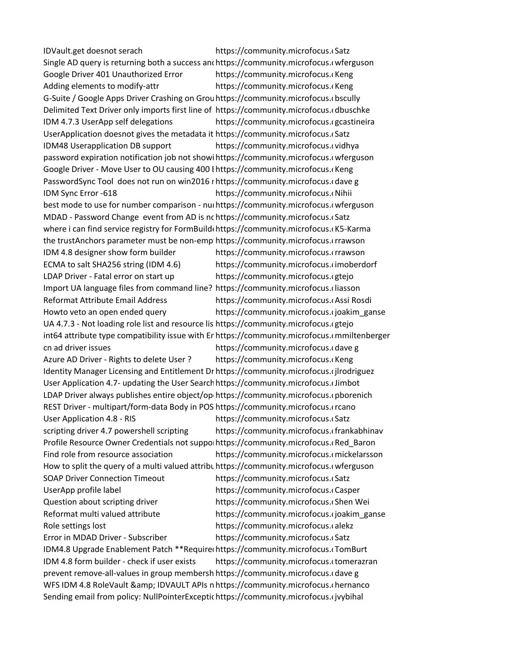IDVault.get doesnot serach https://community.microfocus.com/ Single AD query is returning both a success and https://community.microfocus.com/terguson Google Driver 401 Unauthorized Error https://community.microfocus.ckeng Adding elements to modify-attr https://community.microfocus.ckeng G-Suite / Google Apps Driver Crashing on Grouhttps://community.microfocus.com/t5 Delimited Text Driver only imports first line of https://community.microfocus.cdbuschke IDM 4.7.3 UserApp self delegations https://community.microfocus.cgcastineira UserApplication doesnot gives the metadata it https://community.microfocus.com/t5 IDM48 Userapplication DB support https://community.microfocus.cvidhya password expiration notification job not showi https://community.microfocus.cwferguson Google Driver - Move User to OU causing 400 I https://community.microfocus.cKeng PasswordSync Tool does not run on win2016 r https://community.microfocus.cdave g IDM Sync Error -618 **https://community.microfocus.com/identity**best mode to use for number comparison - num https://community.microfocus.cwferguson MDAD - Password Change event from AD is nchttps://community.microfocus.cSatz where i can find service registry for FormBuildenttps://community.microfocus.com/t5-Karma the trustAnchors parameter must be non-emp https://community.microfocus.crrawson IDM 4.8 designer show form builder https://community.microfocus.crrawson ECMA to salt SHA256 string (IDM 4.6) https://community.microfocus.com/to-salt-SHA256-string-IDM-4.6 LDAP Driver - Fatal error on start up https://community.microfocus.cgtejo Import UA language files from command line? https://community.microfocus.cliasson Reformat Attribute Email Address https://community.microfocus.com/t5.identity-Howto veto an open ended query https://community.microfocus.cjoakim\_ganse UA 4.7.3 - Not loading role list and resource lis https://community.microfocus.cgtejo int64 attribute type compatibility issue with Er https://community.microfocus.ommiltenberger cn ad driver issues https://community.microfocus.cdave g Azure AD Driver - Rights to delete User ? https://community.microfocus.ckeng Identity Manager Licensing and Entitlement Dr https://community.microfocus.cjlrodriguez User Application 4.7- updating the User Search https://community.microfocus.cJimbot LDAP Driver always publishes entire object/openttps://community.microfocus.cpborenich REST Driver - multipart/form-data Body in POS https://community.microfocus.crcano User Application 4.8 - RIS https://community.microfocus.cs scripting driver 4.7 powershell scripting https://community.microfocus.cfrankabhinav Profile Resource Owner Credentials not supportttps://community.microfocus.cRed\_Baron Find role from resource association https://community.microfocus.comickelarsson How to split the query of a multi valued attributehttps://community.microfocus.com/to-split-the-query-of-a-multi-SOAP Driver Connection Timeout https://community.microfocus.csatz UserApp profile label https://community.microfocus.com/t5/Identity-Manager-Question about scripting driver https://community.microfocus.com/tein-Reformat multi valued attribute https://community.microfocus.com/titum-manager-Role settings lost https://community.microfocus.calekz Error in MDAD Driver - Subscriber https://community.microfocus.cs IDM4.8 Upgrade Enablement Patch \*\*Require(https://community.microfocus.comBurt-IDM 4.8 form builder - check if user exists https://community.microfocus.ctomerazran prevent remove-all-values in group membersh https://community.microfocus.cdave g WFS IDM 4.8 RoleVault & amp; IDVAULT APIs n https://community.microfocus.chernanco Sending email from policy: NullPointerExceptic https://community.microfocus.cjvybihal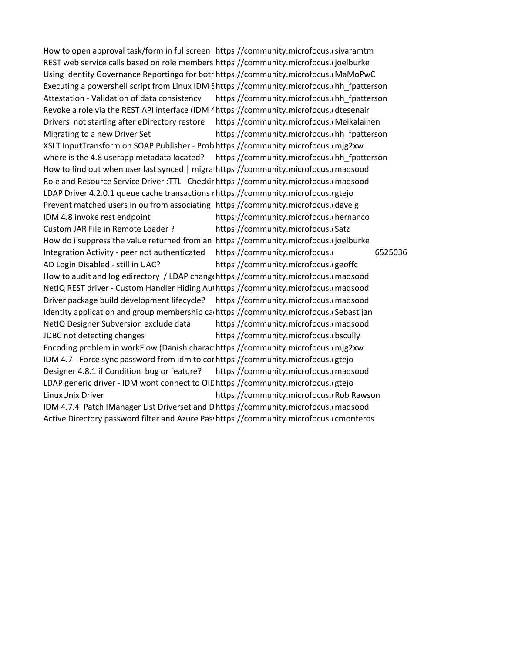How to open approval task/form in fullscreen https://community.microfocus.csivaramtm REST web service calls based on role members https://community.microfocus.cjoelburke Using Identity Governance Reportingo for both https://community.microfocus.cMaMoPwC Executing a powershell script from Linux IDM Shttps://community.microfocus.chh\_fpatterson Attestation - Validation of data consistency https://community.microfocus.chh\_fpatterson Revoke a role via the REST API interface (IDM 4 https://community.microfocus.cdtesenair Drivers not starting after eDirectory restore https://community.microfocus.cMeikalainen Migrating to a new Driver Set https://community.microfocus.com/heatterson XSLT InputTransform on SOAP Publisher - Prob https://community.microfocus.cmjg2xw where is the 4.8 userapp metadata located? https://community.microfocus.chh\_fpatterson How to find out when user last synced | migra https://community.microfocus.cmagsood Role and Resource Service Driver :TTL Checkir https://community.microfocus.comagsood LDAP Driver 4.2.0.1 queue cache transactions nhttps://community.microfocus.cgtejo Prevent matched users in ou from associating https://community.microfocus.cdave g IDM 4.8 invoke rest endpoint https://community.microfocus.chernancom/ Custom JAR File in Remote Loader ? https://community.microfocus.cs How do i suppress the value returned from an https://community.microfocus.cjoelburke Integration Activity - peer not authenticated https://community.microfocus.com/t525036 AD Login Disabled - still in UAC? https://community.microfocus.cgeoffc How to audit and log edirectory / LDAP chang https://community.microfocus. maqsood NetIQ REST driver - Custom Handler Hiding Authttps://community.microfocus.cmagsood Driver package build development lifecycle? https://community.microfocus.comagsood Identity application and group membership canhttps://community.microfocus.com/tish-NetIQ Designer Subversion exclude data https://community.microfocus.com/naqsood JDBC not detecting changes https://community.microfocus.com/t5/Identity-microfocus.com/ Encoding problem in workFlow (Danish charac https://community.microfocus.comig2xw IDM 4.7 - Force sync password from idm to corn ttps://community.microfocus.cgtejo Designer 4.8.1 if Condition bug or feature? https://community.microfocus.comagsood LDAP generic driver - IDM wont connect to OIE https://community.microfocus.cgtejo LinuxUnix Driver **https://community.microfocus.com/tity-Manager-User** IDM 4.7.4 Patch IManager List Driverset and Dhttps://community.microfocus.cmagsood Active Directory password filter and Azure Pas: https://community.microfocus.comonteros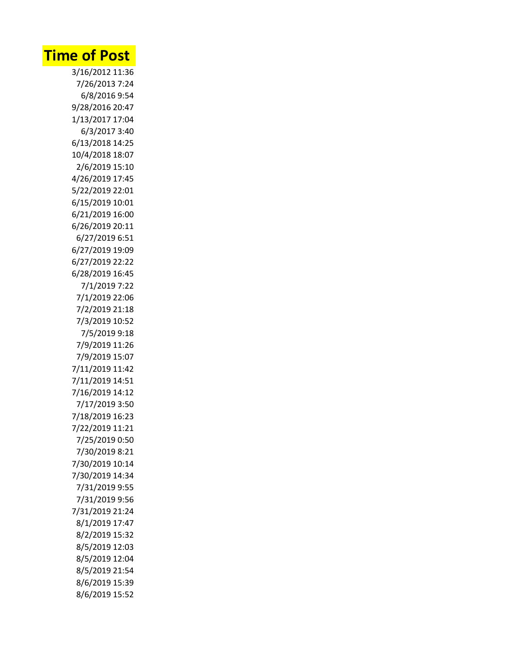## **Time of Post**

3/16/2012 11:36 7/26/2013 7:24 6/8/2016 9:54 9/28/2016 20:47 1/13/2017 17:04 6/3/2017 3:40 6/13/2018 14:25 10/4/2018 18:07 2/6/2019 15:10 4/26/2019 17:45 5/22/2019 22:01 6/15/2019 10:01 6/21/2019 16:00 6/26/2019 20:11 6/27/2019 6:51 6/27/2019 19:09 6/27/2019 22:22 6/28/2019 16:45 7/1/2019 7:22 7/1/2019 22:06 7/2/2019 21:18 7/3/2019 10:52 7/5/2019 9:18 7/9/2019 11:26 7/9/2019 15:07 7/11/2019 11:42 7/11/2019 14:51 7/16/2019 14:12 7/17/2019 3:50 7/18/2019 16:23 7/22/2019 11:21 7/25/2019 0:50 7/30/2019 8:21 7/30/2019 10:14 7/30/2019 14:34 7/31/2019 9:55 7/31/2019 9:56 7/31/2019 21:24 8/1/2019 17:47 8/2/2019 15:32 8/5/2019 12:03 8/5/2019 12:04 8/5/2019 21:54 8/6/2019 15:39 8/6/2019 15:52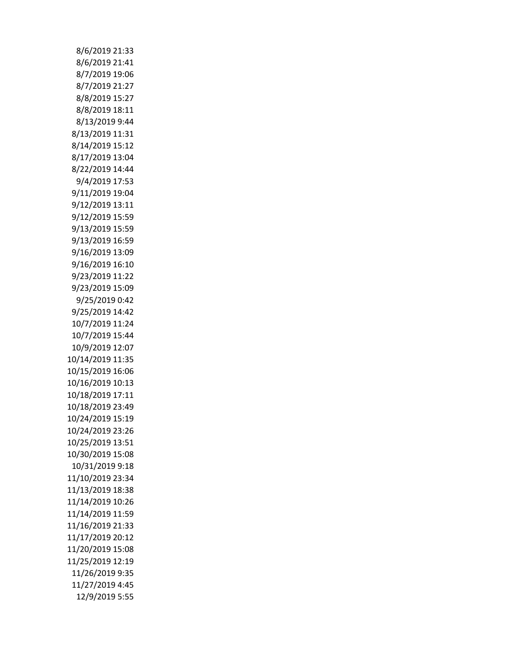| 8/6/2019 21:33   |
|------------------|
| 8/6/2019 21:41   |
| 8/7/2019 19:06   |
| 8/7/2019 21:27   |
| 8/8/2019 15:27   |
| 8/8/2019 18:11   |
| 8/13/2019 9:44   |
| 8/13/2019 11:31  |
| 8/14/2019 15:12  |
| 8/17/2019 13:04  |
| 8/22/2019 14:44  |
| 9/4/2019 17:53   |
| 9/11/2019 19:04  |
| 9/12/2019 13:11  |
| 9/12/2019 15:59  |
| 9/13/2019 15:59  |
|                  |
| 9/13/2019 16:59  |
| 9/16/2019 13:09  |
| 9/16/2019 16:10  |
| 9/23/2019 11:22  |
| 9/23/2019 15:09  |
| 9/25/2019 0:42   |
| 9/25/2019 14:42  |
| 10/7/2019 11:24  |
| 10/7/2019 15:44  |
| 10/9/2019 12:07  |
| 10/14/2019 11:35 |
| 10/15/2019 16:06 |
| 10/16/2019 10:13 |
| 10/18/2019 17:11 |
| 10/18/2019 23:49 |
| 10/24/2019 15:19 |
| 10/24/2019 23:26 |
| 10/25/2019 13:51 |
| 10/30/2019 15:08 |
| 10/31/2019 9:18  |
| 11/10/2019 23:34 |
|                  |
| 11/13/2019 18:38 |
| 11/14/2019 10:26 |
| 11/14/2019 11:59 |
| 11/16/2019 21:33 |
| 11/17/2019 20:12 |
| 11/20/2019 15:08 |
| 11/25/2019 12:19 |
| 11/26/2019 9:35  |
| 11/27/2019 4:45  |
| 12/9/2019 5:55   |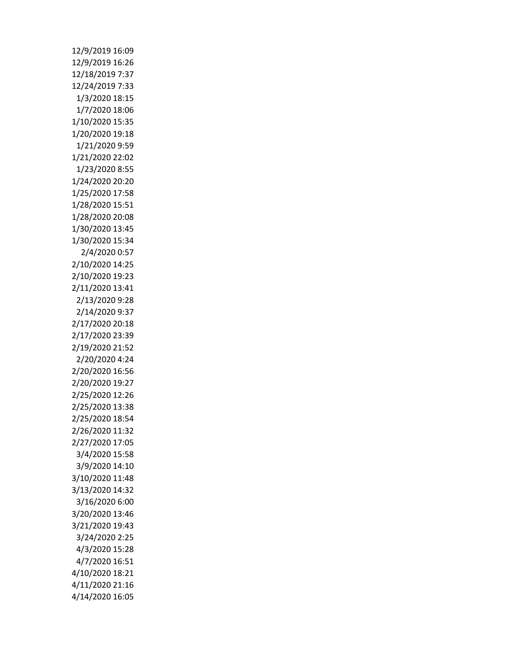| 12/9/2019 16:09 |
|-----------------|
| 12/9/2019 16:26 |
| 12/18/2019 7:37 |
| 12/24/2019 7:33 |
| 1/3/2020 18:15  |
| 1/7/2020 18:06  |
| 1/10/2020 15:35 |
| 1/20/2020 19:18 |
| 1/21/2020 9:59  |
| 1/21/2020 22:02 |
| 1/23/2020 8:55  |
| 1/24/2020 20:20 |
| 1/25/2020 17:58 |
| 1/28/2020 15:51 |
| 1/28/2020 20:08 |
| 1/30/2020 13:45 |
| 1/30/2020 15:34 |
| 2/4/2020 0:57   |
| 2/10/2020 14:25 |
| 2/10/2020 19:23 |
| 2/11/2020 13:41 |
| 2/13/2020 9:28  |
| 2/14/2020 9:37  |
| 2/17/2020 20:18 |
| 2/17/2020 23:39 |
| 2/19/2020 21:52 |
| 2/20/2020 4:24  |
| 2/20/2020 16:56 |
| 2/20/2020 19:27 |
| 2/25/2020 12:26 |
| 2/25/2020 13:38 |
| 2/25/2020 18:54 |
| 2/26/2020 11:32 |
|                 |
| 2/27/2020 17:05 |
| 3/4/2020 15:58  |
| 3/9/2020 14:10  |
| 3/10/2020 11:48 |
| 3/13/2020 14:32 |
| 3/16/2020 6:00  |
| 3/20/2020 13:46 |
| 3/21/2020 19:43 |
| 3/24/2020 2:25  |
| 4/3/2020 15:28  |
| 4/7/2020 16:51  |
| 4/10/2020 18:21 |
| 4/11/2020 21:16 |
| 4/14/2020 16:05 |